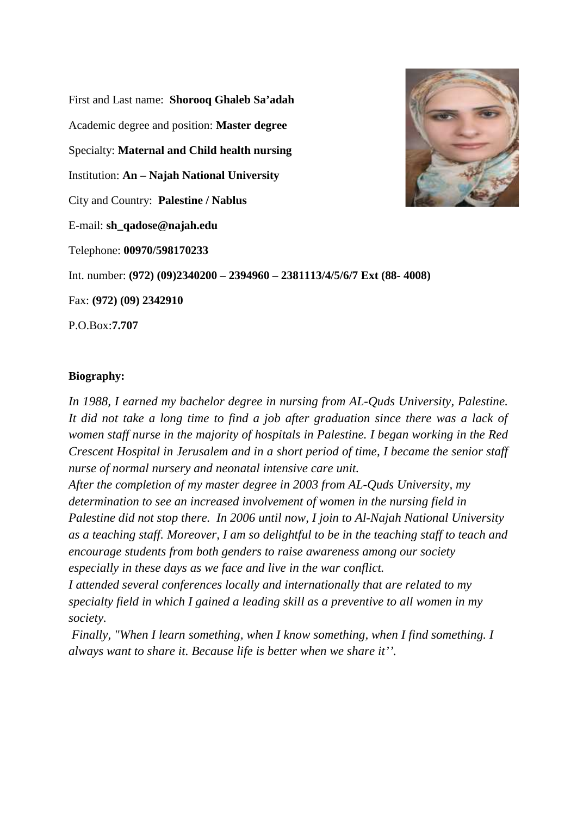First and Last name: **Shorooq Ghaleb Sa'adah** Academic degree and position: **Master degree** Specialty: **Maternal and Child health nursing** Institution: **An – Najah National University** City and Country: **Palestine / Nablus** E-mail: **sh\_qadose@najah.edu** Telephone: **00970/598170233** Int. number: **(972) (09)2340200 – 2394960 – 2381113/4/5/6/7 Ext (88- 4008)** Fax: **(972) (09) 2342910** P.O.Box:**7.707**



*In 1988, I earned my bachelor degree in nursing from AL-Quds University, Palestine. It did not take a long time to find a job after graduation since there was a lack of women staff nurse in the majority of hospitals in Palestine. I began working in the Red Crescent Hospital in Jerusalem and in a short period of time, I became the senior staff nurse of normal nursery and neonatal intensive care unit.*

*After the completion of my master degree in 2003 from AL-Quds University, my determination to see an increased involvement of women in the nursing field in Palestine did not stop there. In 2006 until now, I join to Al-Najah National University as a teaching staff. Moreover, I am so delightful to be in the teaching staff to teach and encourage students from both genders to raise awareness among our society especially in these days as we face and live in the war conflict.*

*I attended several conferences locally and internationally that are related to my specialty field in which I gained a leading skill as a preventive to all women in my society.*

 *Finally, "When I learn something, when I know something, when I find something. I always want to share it. Because life is better when we share it''.*